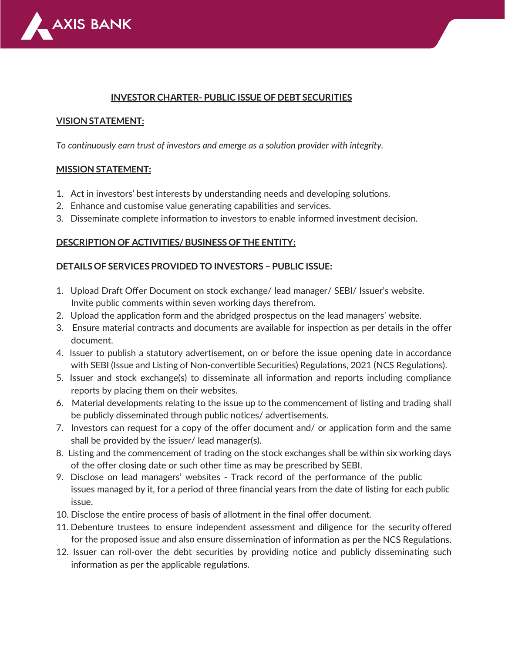

#### **INVESTOR CHARTER- PUBLIC ISSUE OF DEBT SECURITIES**

#### **VISION STATEMENT:**

*To continuously earn trust of investors and emerge as a solution provider with integrity.*

#### **MISSION STATEMENT:**

- 1. Act in investors' best interests by understanding needs and developing solutions.
- 2. Enhance and customise value generating capabilities and services.
- 3. Disseminate complete information to investors to enable informed investment decision.

#### **DESCRIPTION OF ACTIVITIES/ BUSINESS OF THE ENTITY:**

#### **DETAILS OF SERVICES PROVIDED TO INVESTORS – PUBLIC ISSUE:**

- 1. Upload Draft Offer Document on stock exchange/ lead manager/ SEBI/ Issuer's website. Invite public comments within seven working days therefrom.
- 2. Upload the application form and the abridged prospectus on the lead managers' website.
- 3. Ensure material contracts and documents are available for inspection as per details in the offer document.
- 4. Issuer to publish a statutory advertisement, on or before the issue opening date in accordance with SEBI (Issue and Listing of Non-convertible Securities) Regulations, 2021 (NCS Regulations).
- 5. Issuer and stock exchange(s) to disseminate all information and reports including compliance reports by placing them on their websites.
- 6. Material developments relating to the issue up to the commencement of listing and trading shall be publicly disseminated through public notices/ advertisements.
- 7. Investors can request for a copy of the offer document and/ or application form and the same shall be provided by the issuer/ lead manager(s).
- 8. Listing and the commencement of trading on the stock exchanges shall be within six working days of the offer closing date or such other time as may be prescribed by SEBI.
- 9. Disclose on lead managers' websites Track record of the performance of the public issues managed by it, for a period of three financial years from the date of listing for each public issue.
- 10. Disclose the entire process of basis of allotment in the final offer document.
- 11. Debenture trustees to ensure independent assessment and diligence for the security offered for the proposed issue and also ensure dissemination of information as per the NCS Regulations.
- 12. Issuer can roll-over the debt securities by providing notice and publicly disseminating such information as per the applicable regulations.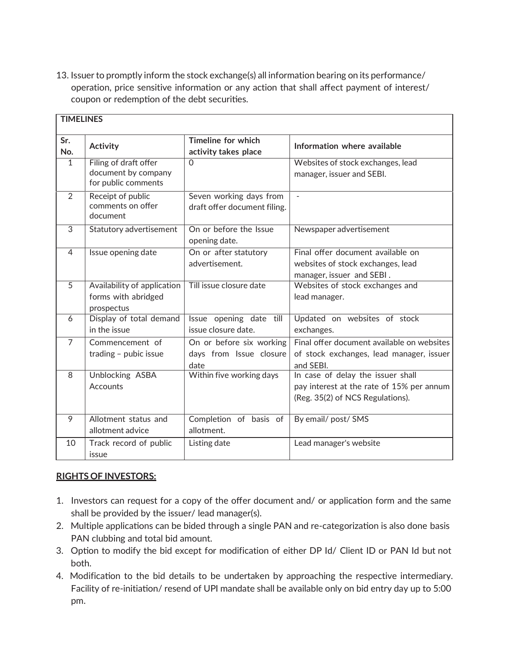13. Issuer to promptly inform the stock exchange(s) all information bearing on its performance/ operation, price sensitive information or any action that shall affect payment of interest/ coupon or redemption of the debt securities.

| <b>TIMELINES</b> |                                                                     |                                                             |                                                                                                                    |  |  |
|------------------|---------------------------------------------------------------------|-------------------------------------------------------------|--------------------------------------------------------------------------------------------------------------------|--|--|
| Sr.<br>No.       | <b>Activity</b>                                                     | Timeline for which<br>activity takes place                  | Information where available                                                                                        |  |  |
| $\mathbf{1}$     | Filing of draft offer<br>document by company<br>for public comments | $\Omega$                                                    | Websites of stock exchanges, lead<br>manager, issuer and SEBI.                                                     |  |  |
| $\mathcal{P}$    | Receipt of public<br>comments on offer<br>document                  | Seven working days from<br>draft offer document filing.     |                                                                                                                    |  |  |
| 3                | Statutory advertisement                                             | On or before the Issue<br>opening date.                     | Newspaper advertisement                                                                                            |  |  |
| $\overline{4}$   | Issue opening date                                                  | On or after statutory<br>advertisement.                     | Final offer document available on<br>websites of stock exchanges, lead<br>manager, issuer and SEBI.                |  |  |
| $\overline{5}$   | Availability of application<br>forms with abridged<br>prospectus    | Till issue closure date                                     | Websites of stock exchanges and<br>lead manager.                                                                   |  |  |
| 6                | Display of total demand<br>in the issue                             | Issue opening date till<br>issue closure date.              | Updated on websites of stock<br>exchanges.                                                                         |  |  |
| $\overline{7}$   | Commencement of<br>trading - pubic issue                            | On or before six working<br>days from Issue closure<br>date | Final offer document available on websites<br>of stock exchanges, lead manager, issuer<br>and SEBI.                |  |  |
| 8                | Unblocking ASBA<br>Accounts                                         | Within five working days                                    | In case of delay the issuer shall<br>pay interest at the rate of 15% per annum<br>(Reg. 35(2) of NCS Regulations). |  |  |
| 9                | Allotment status and<br>allotment advice                            | Completion of basis of<br>allotment.                        | By email/ post/ SMS                                                                                                |  |  |
| 10               | Track record of public<br>issue                                     | Listing date                                                | Lead manager's website                                                                                             |  |  |

### **RIGHTS OF INVESTORS:**

- 1. Investors can request for a copy of the offer document and/ or application form and the same shall be provided by the issuer/ lead manager(s).
- 2. Multiple applications can be bided through a single PAN and re-categorization is also done basis PAN clubbing and total bid amount.
- 3. Option to modify the bid except for modification of either DP Id/ Client ID or PAN Id but not both.
- 4. Modification to the bid details to be undertaken by approaching the respective intermediary. Facility of re-initiation/ resend of UPI mandate shall be available only on bid entry day up to 5:00 pm.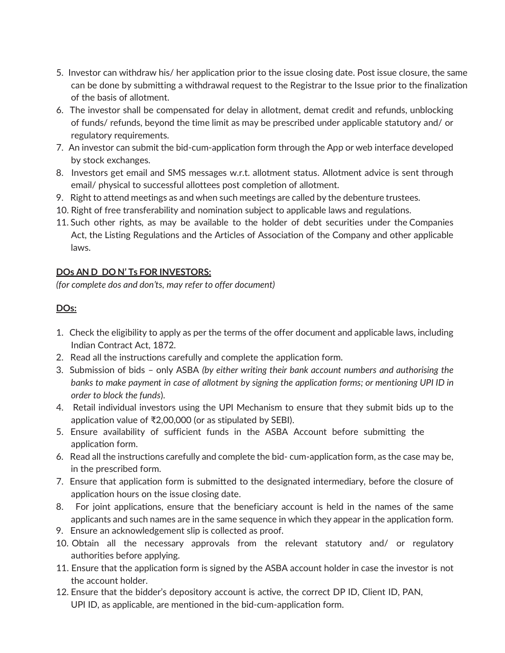- 5. Investor can withdraw his/ her application prior to the issue closing date. Post issue closure, the same can be done by submitting a withdrawal request to the Registrar to the Issue prior to the finalization of the basis of allotment.
- 6. The investor shall be compensated for delay in allotment, demat credit and refunds, unblocking of funds/ refunds, beyond the time limit as may be prescribed under applicable statutory and/ or regulatory requirements.
- 7. An investor can submit the bid-cum-application form through the App or web interface developed by stock exchanges.
- 8. Investors get email and SMS messages w.r.t. allotment status. Allotment advice is sent through email/ physical to successful allottees post completion of allotment.
- 9. Right to attend meetings as and when such meetings are called by the debenture trustees.
- 10. Right of free transferability and nomination subject to applicable laws and regulations.
- 11. Such other rights, as may be available to the holder of debt securities under the Companies Act, the Listing Regulations and the Articles of Association of the Company and other applicable laws.

# **DOs AN D DO N' Ts FOR INVESTORS:**

*(for complete dos and don'ts, may refer to offer document)*

# **DOs:**

- 1. Check the eligibility to apply as per the terms of the offer document and applicable laws, including Indian Contract Act, 1872.
- 2. Read all the instructions carefully and complete the application form.
- 3. Submission of bids only ASBA *(by either writing their bank account numbers and authorising the banks to make payment in case of allotment by signing the application forms; or mentioning UPI ID in order to block the funds*).
- 4. Retail individual investors using the UPI Mechanism to ensure that they submit bids up to the application value of ₹2,00,000 (or as stipulated by SEBI).
- 5. Ensure availability of sufficient funds in the ASBA Account before submitting the application form.
- 6. Read all the instructions carefully and complete the bid- cum-application form, as the case may be, in the prescribed form.
- 7. Ensure that application form is submitted to the designated intermediary, before the closure of application hours on the issue closing date.
- 8. For joint applications, ensure that the beneficiary account is held in the names of the same applicants and such names are in the same sequence in which they appear in the application form.
- 9. Ensure an acknowledgement slip is collected as proof.
- 10. Obtain all the necessary approvals from the relevant statutory and/ or regulatory authorities before applying.
- 11. Ensure that the application form is signed by the ASBA account holder in case the investor is not the account holder.
- 12. Ensure that the bidder's depository account is active, the correct DP ID, Client ID, PAN, UPI ID, as applicable, are mentioned in the bid-cum-application form.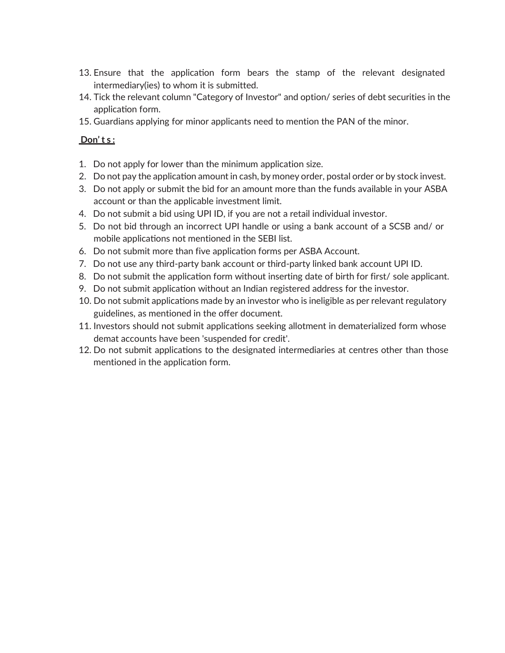- 13. Ensure that the application form bears the stamp of the relevant designated intermediary(ies) to whom it is submitted.
- 14. Tick the relevant column "Category of Investor" and option/ series of debt securities in the application form.
- 15. Guardians applying for minor applicants need to mention the PAN of the minor.

### **Don' t s :**

- 1. Do not apply for lower than the minimum application size.
- 2. Do not pay the application amount in cash, by money order, postal order or by stock invest.
- 3. Do not apply or submit the bid for an amount more than the funds available in your ASBA account or than the applicable investment limit.
- 4. Do not submit a bid using UPI ID, if you are not a retail individual investor.
- 5. Do not bid through an incorrect UPI handle or using a bank account of a SCSB and/ or mobile applications not mentioned in the SEBI list.
- 6. Do not submit more than five application forms per ASBA Account.
- 7. Do not use any third-party bank account or third-party linked bank account UPI ID.
- 8. Do not submit the application form without inserting date of birth for first/ sole applicant.
- 9. Do not submit application without an Indian registered address for the investor.
- 10. Do not submit applications made by an investor who is ineligible as per relevant regulatory guidelines, as mentioned in the offer document.
- 11. Investors should not submit applications seeking allotment in dematerialized form whose demat accounts have been 'suspended for credit'.
- 12. Do not submit applications to the designated intermediaries at centres other than those mentioned in the application form.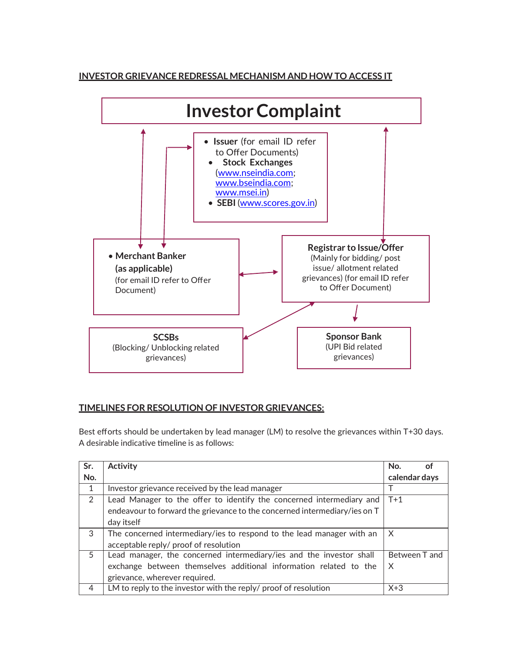### **INVESTOR GRIEVANCE REDRESSAL MECHANISM AND HOW TO ACCESS IT**



### **TIMELINES FOR RESOLUTION OF INVESTOR GRIEVANCES:**

Best efforts should be undertaken by lead manager (LM) to resolve the grievances within T+30 days. A desirable indicative timeline is as follows:

| Sr.          | <b>Activity</b>                                                           | No.   |               |  |
|--------------|---------------------------------------------------------------------------|-------|---------------|--|
| No.          |                                                                           |       | calendar days |  |
| $\mathbf{1}$ | Investor grievance received by the lead manager                           |       |               |  |
| 2            | Lead Manager to the offer to identify the concerned intermediary and      |       |               |  |
|              | endeavour to forward the grievance to the concerned intermediary/ies on T |       |               |  |
|              | day itself                                                                |       |               |  |
| 3            | The concerned intermediary/ies to respond to the lead manager with an     |       |               |  |
|              | acceptable reply/ proof of resolution                                     |       |               |  |
| 5            | Lead manager, the concerned intermediary/ies and the investor shall       |       | Between T and |  |
|              | exchange between themselves additional information related to the         |       |               |  |
|              | grievance, wherever required.                                             |       |               |  |
| 4            | LM to reply to the investor with the reply/ proof of resolution           | $X+3$ |               |  |